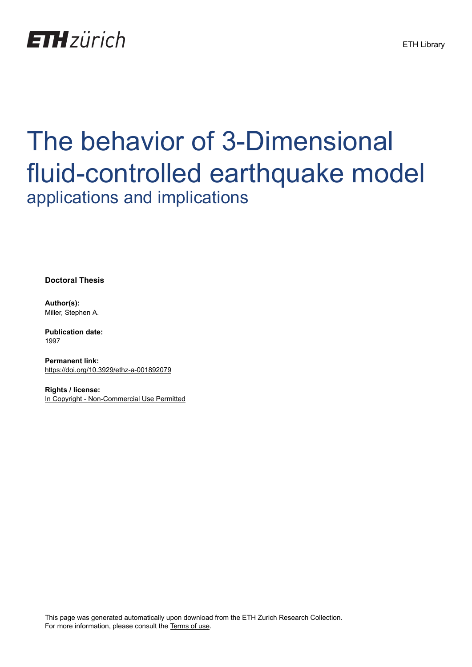

# The behavior of 3-Dimensional fluid-controlled earthquake model applications and implications

**Doctoral Thesis**

**Author(s):** Miller, Stephen A.

**Publication date:** 1997

**Permanent link:** <https://doi.org/10.3929/ethz-a-001892079>

**Rights / license:** [In Copyright - Non-Commercial Use Permitted](http://rightsstatements.org/page/InC-NC/1.0/)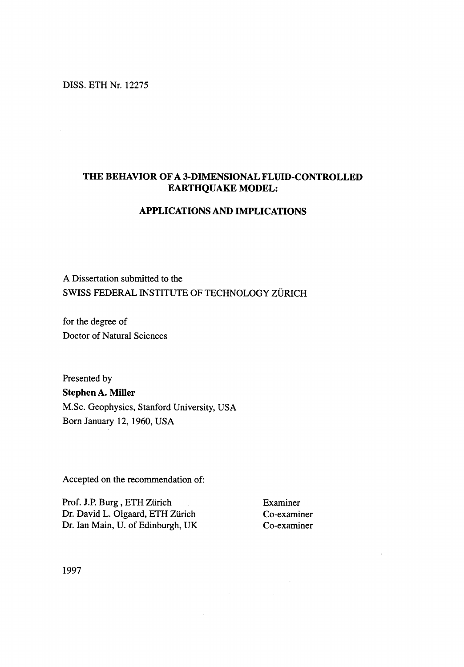#### DISS. ETH Nr. 12275

### THE BEHAVIOR OF A 3-DIMENSIONAL FLUID-CONTROLLED EARTHQUAKE MODEL:

#### APPLICATIONS AND IMPLICATIONS

 $\mathcal{L}(\mathcal{L})$  and  $\mathcal{L}(\mathcal{L})$ 

 $\Delta \sim 1$ 

 $\label{eq:2.1} \frac{1}{\sqrt{2\pi}}\int_{\mathbb{R}^3}\frac{1}{\sqrt{2\pi}}\int_{\mathbb{R}^3}\frac{1}{\sqrt{2\pi}}\int_{\mathbb{R}^3}\frac{1}{\sqrt{2\pi}}\int_{\mathbb{R}^3}\frac{1}{\sqrt{2\pi}}\int_{\mathbb{R}^3}\frac{1}{\sqrt{2\pi}}\int_{\mathbb{R}^3}\frac{1}{\sqrt{2\pi}}\int_{\mathbb{R}^3}\frac{1}{\sqrt{2\pi}}\int_{\mathbb{R}^3}\frac{1}{\sqrt{2\pi}}\int_{\mathbb{R}^3}\frac{1$ 

A Dissertation submitted to the SWISS FEDERAL INSTITUTE OF TECHNOLOGY ZÜRICH

for the degree of Doctor of Natural Sciences

Presented by Stephen A. Miller M.Sc. Geophysics, Stanford University, USA Born January 12, 1960, USA

Accepted on the recommendation of:

Prof. J.P. Burg, ETH Zürich Examiner Dr. David L. Olgaard, ETH Zürich Co-examiner Dr. Ian Main, U. of Edinburgh, UK Co-examiner

 $\sim 10^{11}$  km s  $^{-1}$ 

1997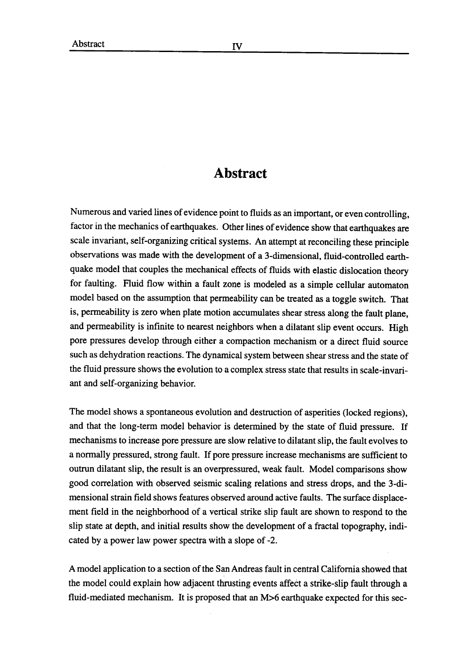## Abstract

Numerous and varied lines of evidence point to fluids as an important, or even controlling, factor in the mechanics of earthquakes. Other lines of evidence show that earthquakes are scale invariant, self-organizing critical systems. An attempt at reconciling these principle observations was made with the development of a 3-dimensional, fluid-controlled earthquake model that couples the mechanical effects of fluids with elastic dislocation theory for faulting. Fluid flow within <sup>a</sup> fault zone is modeled as <sup>a</sup> simple cellular automaton model based on the assumption that permeability can be treated as <sup>a</sup> toggle switch. That is, permeability is zero when plate motion accumulates shear stress along the fault plane, and permeability is infinite to nearest neighbors when <sup>a</sup> dilatant slip event occurs. High pore pressures develop through either a compaction mechanism or a direct fluid source such as dehydration reactions. The dynamical system between shear stress and the state of the fluid pressure shows the evolution to a complex stress state that results in scale-invariant and self-organizing behavior.

The model shows <sup>a</sup> spontaneous evolution and destruction of asperities (locked regions), and that the long-term model behavior is determined by the state of fluid pressure. If mechanisms to increase pore pressure are slow relative to dilatant slip, the fault evolves to a normally pressured, strong fault. If pore pressure increase mechanisms are sufficient to outrun dilatant slip, the result is an overpressured, weak fault. Model comparisons show good correlation with observed seismic scaling relations and stress drops, and the 3-di mensional strain field shows features observed around active faults. The surface displacement field in the neighborhood of <sup>a</sup> vertical strike slip fault are shown to respond to the slip state at depth, and initial results show the development of a fractal topography, indicated by a power law power spectra with a slope of -2.

A model application to <sup>a</sup> section of the San Andreas fault in central California showed that the model could explain how adjacent thrusting events affect <sup>a</sup> strike-slip fault through <sup>a</sup> fluid-mediated mechanism. It is proposed that an M>6 earthquake expected for this sec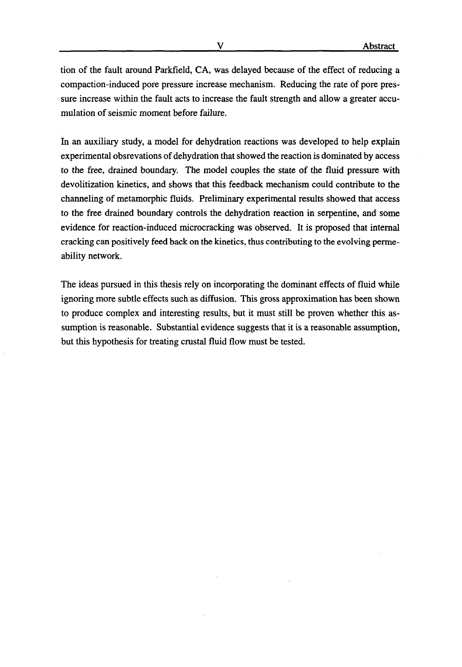tion of the fault around Parkfield, CA, was delayed because of the effect of reducing a compaction-induced pore pressure increase mechanism. Reducing the rate of pore pressure increase within the fault acts to increase the fault strength and allow a greater accumulation of seismic moment before failure.

In an auxiliary study, a model for dehydration reactions was developed to help explain experimental obsrevations of dehydration that showed the reaction is dominated by access to the free, drained boundary. The model couples the state of the fluid pressure with devolitization kinetics, and shows that this feedback mechanism could contribute to the channeling of metamorphic fluids. Preliminary experimental results showed that access to the free drained boundary controls the dehydration reaction in serpentine, and some evidence for reaction-induced microcracking was observed. It is proposed that internal cracking can positively feed back on the kinetics, thus contributing to the evolving permeability network.

The ideas pursued in this thesis rely on incorporating the dominant effects of fluid while ignoring more subtle effects such as diffusion. This gross approximation has been shown to produce complex and interesting results, but it must still be proven whether this assumption is reasonable. Substantial evidence suggests that it is a reasonable assumption, but this hypothesis for treating crustal fluid flow must be tested.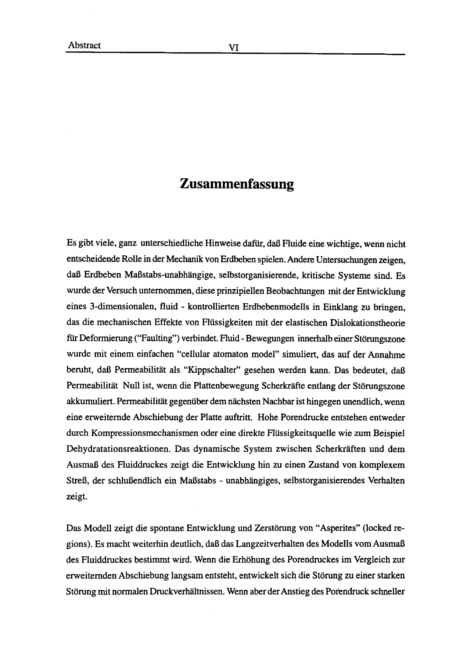## Zusammenfassung

Es gibt viele, ganz unterschiedliche Hinweise dafiir, daB Fluide eine wichtige, wenn nicht entscheidende Rolle in der Mechanik von Erdbeben spielen. Andere Untersuchungen zeigen, daB Erdbeben MaBstabs-unabhangige, selbstorganisierende, kritische Systeme sind. Es wurde der Versuch unternommen, diese prinzipiellen Beobachtungen mit der Entwicklung eines 3-dimensionalen, fluid - kontrollierten Erdbebenmodells in Einklang zu bringen, das die mechanischen Effekte von Fliissigkeiten mit der elastischen Dislokationstheorie für Deformierung ("Faulting") verbindet. Fluid - Bewegungen innerhalb einer Störungszone wurde mit einem einfachen "cellular atomaton model" simuliert, das auf der Annahme beruht, daB Permeabilitat als "Kippschalter" gesehen werden kann. Das bedeutet, daB Permeabilität Null ist, wenn die Plattenbewegung Scherkräfte entlang der Störungszone akkumuliert. Permeabilität gegenüber dem nächsten Nachbar ist hingegen unendlich, wenn eine erweiternde Abschiebung der Platte auftritt. Hohe Porendrucke entstehen entweder durch Kompressionsmechanismen oder eine direkte Fliissigkeitsquelle wie zum Beispiel Dehydratationsreaktionen. Das dynamische System zwischen Scherkraften und dem AusmaB des Fluiddruckes zeigt die Entwicklung hin zu einen Zustand von komplexem StreB, der schluBendlich ein MaBstabs - unabhangiges, selbstorganisierendes Verhalten zeigt.

Das Modell zeigt die spontane Entwicklung und Zerstörung von "Asperites" (locked regions). Es macht weiterhin deutlich, daB das Langzeitverhalten des Modells vom AusmaB des Fluiddruckes bestimmt wird. Wenn die Erhohung des Porendruckes im Vergleich zur erweiternden Abschiebung langsam entsteht, entwickelt sich die Störung zu einer starken Störung mit normalen Druckverhältnissen. Wenn aber der Anstieg des Porendruck schneller